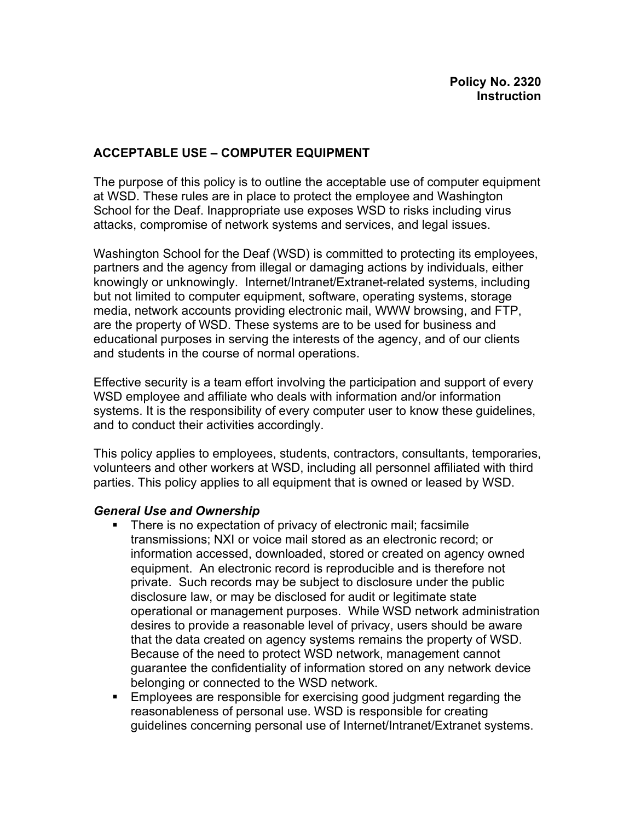#### **ACCEPTABLE USE – COMPUTER EQUIPMENT**

The purpose of this policy is to outline the acceptable use of computer equipment at WSD. These rules are in place to protect the employee and Washington School for the Deaf. Inappropriate use exposes WSD to risks including virus attacks, compromise of network systems and services, and legal issues.

Washington School for the Deaf (WSD) is committed to protecting its employees, partners and the agency from illegal or damaging actions by individuals, either knowingly or unknowingly. Internet/Intranet/Extranet-related systems, including but not limited to computer equipment, software, operating systems, storage media, network accounts providing electronic mail, WWW browsing, and FTP, are the property of WSD. These systems are to be used for business and educational purposes in serving the interests of the agency, and of our clients and students in the course of normal operations.

Effective security is a team effort involving the participation and support of every WSD employee and affiliate who deals with information and/or information systems. It is the responsibility of every computer user to know these guidelines, and to conduct their activities accordingly.

This policy applies to employees, students, contractors, consultants, temporaries, volunteers and other workers at WSD, including all personnel affiliated with third parties. This policy applies to all equipment that is owned or leased by WSD.

#### *General Use and Ownership*

- There is no expectation of privacy of electronic mail; facsimile transmissions; NXI or voice mail stored as an electronic record; or information accessed, downloaded, stored or created on agency owned equipment. An electronic record is reproducible and is therefore not private. Such records may be subject to disclosure under the public disclosure law, or may be disclosed for audit or legitimate state operational or management purposes. While WSD network administration desires to provide a reasonable level of privacy, users should be aware that the data created on agency systems remains the property of WSD. Because of the need to protect WSD network, management cannot guarantee the confidentiality of information stored on any network device belonging or connected to the WSD network.
- **Employees are responsible for exercising good judgment regarding the** reasonableness of personal use. WSD is responsible for creating guidelines concerning personal use of Internet/Intranet/Extranet systems.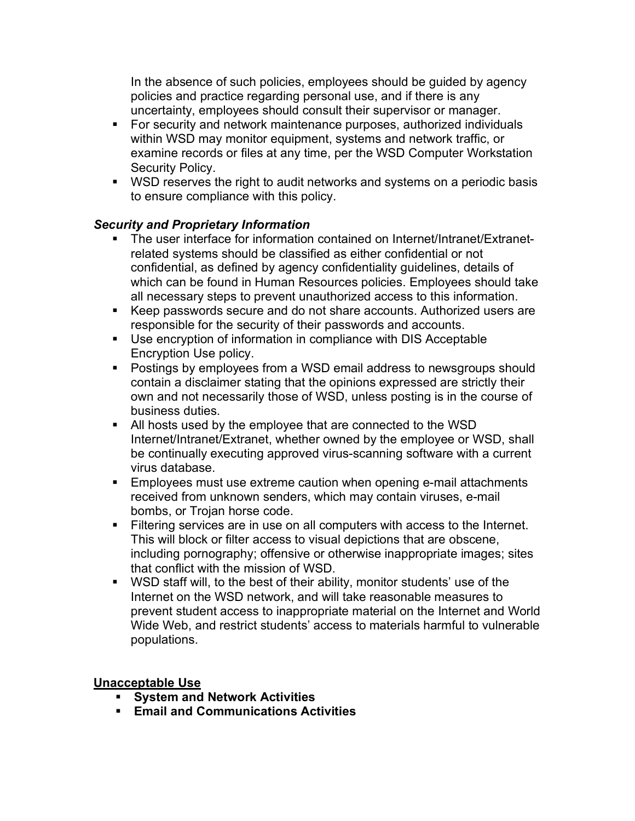In the absence of such policies, employees should be guided by agency policies and practice regarding personal use, and if there is any uncertainty, employees should consult their supervisor or manager.

- **For security and network maintenance purposes, authorized individuals** within WSD may monitor equipment, systems and network traffic, or examine records or files at any time, per the WSD Computer Workstation Security Policy.
- **WSD reserves the right to audit networks and systems on a periodic basis** to ensure compliance with this policy.

# *Security and Proprietary Information*

- ß The user interface for information contained on Internet/Intranet/Extranetrelated systems should be classified as either confidential or not confidential, as defined by agency confidentiality guidelines, details of which can be found in Human Resources policies. Employees should take all necessary steps to prevent unauthorized access to this information.
- Keep passwords secure and do not share accounts. Authorized users are responsible for the security of their passwords and accounts.
- **Use encryption of information in compliance with DIS Acceptable** Encryption Use policy.
- **Postings by employees from a WSD email address to newsgroups should** contain a disclaimer stating that the opinions expressed are strictly their own and not necessarily those of WSD, unless posting is in the course of business duties.
- All hosts used by the employee that are connected to the WSD Internet/Intranet/Extranet, whether owned by the employee or WSD, shall be continually executing approved virus-scanning software with a current virus database.
- **Employees must use extreme caution when opening e-mail attachments** received from unknown senders, which may contain viruses, e-mail bombs, or Trojan horse code.
- **Filtering services are in use on all computers with access to the Internet.** This will block or filter access to visual depictions that are obscene, including pornography; offensive or otherwise inappropriate images; sites that conflict with the mission of WSD.
- **WISO staff will, to the best of their ability, monitor students' use of the** Internet on the WSD network, and will take reasonable measures to prevent student access to inappropriate material on the Internet and World Wide Web, and restrict students' access to materials harmful to vulnerable populations.

## **Unacceptable Use**

- ß **System and Network Activities**
- ß **Email and Communications Activities**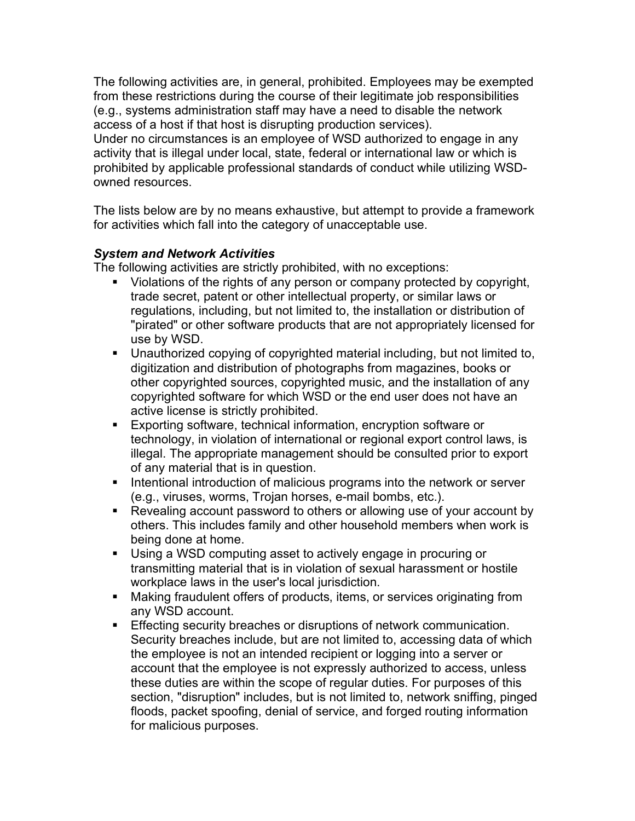The following activities are, in general, prohibited. Employees may be exempted from these restrictions during the course of their legitimate job responsibilities (e.g., systems administration staff may have a need to disable the network access of a host if that host is disrupting production services).

Under no circumstances is an employee of WSD authorized to engage in any activity that is illegal under local, state, federal or international law or which is prohibited by applicable professional standards of conduct while utilizing WSDowned resources.

The lists below are by no means exhaustive, but attempt to provide a framework for activities which fall into the category of unacceptable use.

## *System and Network Activities*

The following activities are strictly prohibited, with no exceptions:

- Violations of the rights of any person or company protected by copyright, trade secret, patent or other intellectual property, or similar laws or regulations, including, but not limited to, the installation or distribution of "pirated" or other software products that are not appropriately licensed for use by WSD.
- **Unauthorized copying of copyrighted material including, but not limited to,** digitization and distribution of photographs from magazines, books or other copyrighted sources, copyrighted music, and the installation of any copyrighted software for which WSD or the end user does not have an active license is strictly prohibited.
- **Exporting software, technical information, encryption software or** technology, in violation of international or regional export control laws, is illegal. The appropriate management should be consulted prior to export of any material that is in question.
- **Intentional introduction of malicious programs into the network or server** (e.g., viruses, worms, Trojan horses, e-mail bombs, etc.).
- Revealing account password to others or allowing use of your account by others. This includes family and other household members when work is being done at home.
- **Using a WSD computing asset to actively engage in procuring or** transmitting material that is in violation of sexual harassment or hostile workplace laws in the user's local jurisdiction.
- **Making fraudulent offers of products, items, or services originating from** any WSD account.
- **Effecting security breaches or disruptions of network communication.** Security breaches include, but are not limited to, accessing data of which the employee is not an intended recipient or logging into a server or account that the employee is not expressly authorized to access, unless these duties are within the scope of regular duties. For purposes of this section, "disruption" includes, but is not limited to, network sniffing, pinged floods, packet spoofing, denial of service, and forged routing information for malicious purposes.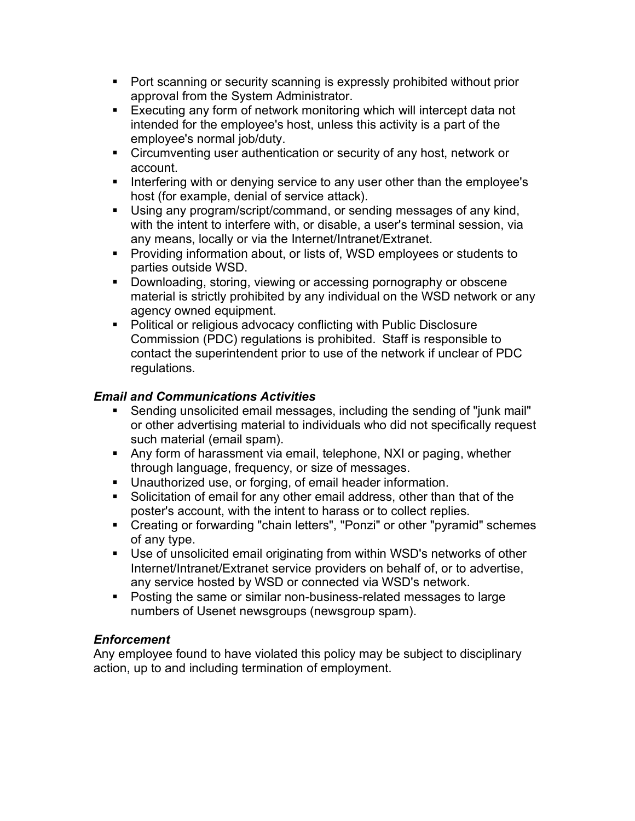- Port scanning or security scanning is expressly prohibited without prior approval from the System Administrator.
- **Executing any form of network monitoring which will intercept data not** intended for the employee's host, unless this activity is a part of the employee's normal job/duty.
- **EXEDENTIFY Circumventing user authentication or security of any host, network or** account.
- **Interfering with or denying service to any user other than the employee's** host (for example, denial of service attack).
- **Using any program/script/command, or sending messages of any kind,** with the intent to interfere with, or disable, a user's terminal session, via any means, locally or via the Internet/Intranet/Extranet.
- **Providing information about, or lists of, WSD employees or students to** parties outside WSD.
- **Downloading, storing, viewing or accessing pornography or obscene** material is strictly prohibited by any individual on the WSD network or any agency owned equipment.
- Political or religious advocacy conflicting with Public Disclosure Commission (PDC) regulations is prohibited. Staff is responsible to contact the superintendent prior to use of the network if unclear of PDC regulations.

## *Email and Communications Activities*

- ß Sending unsolicited email messages, including the sending of "junk mail" or other advertising material to individuals who did not specifically request such material (email spam).
- Any form of harassment via email, telephone, NXI or paging, whether through language, frequency, or size of messages.
- **Unauthorized use, or forging, of email header information.**
- **Solicitation of email for any other email address, other than that of the** poster's account, with the intent to harass or to collect replies.
- Creating or forwarding "chain letters", "Ponzi" or other "pyramid" schemes of any type.
- **Use of unsolicited email originating from within WSD's networks of other** Internet/Intranet/Extranet service providers on behalf of, or to advertise, any service hosted by WSD or connected via WSD's network.
- Posting the same or similar non-business-related messages to large numbers of Usenet newsgroups (newsgroup spam).

## *Enforcement*

Any employee found to have violated this policy may be subject to disciplinary action, up to and including termination of employment.